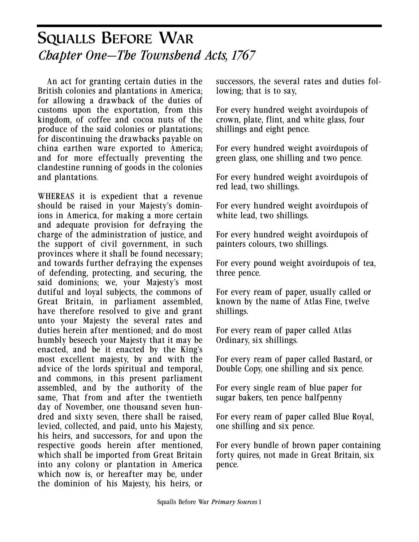An act for granting certain duties in the British colonies and plantations in America; for allowing a drawback of the duties of customs upon the exportation, from this kingdom, of coffee and cocoa nuts of the produce of the said colonies or plantations; for discontinuing the drawbacks payable on china earthen ware exported to America; and for more effectually preventing the clandestine running of goods in the colonies and plantations.

WHEREAS it is expedient that a revenue should be raised in your Majesty's dominions in America, for making a more certain and adequate provision for defraying the charge of the administration of justice, and the support of civil government, in such provinces where it shall be found necessary; and towards further defraying the expenses of defending, protecting, and securing, the said dominions; we, your Majesty's most dutiful and loyal subjects, the commons of Great Britain, in parliament assembled, have therefore resolved to give and grant unto your Majesty the several rates and duties herein after mentioned; and do most humbly beseech your Majesty that it may be enacted, and be it enacted by the King's most excellent majesty, by and with the advice of the lords spiritual and temporal, and commons, in this present parliament assembled, and by the authority of the same, That from and after the twentieth day of November, one thousand seven hundred and sixty seven, there shall be raised, levied, collected, and paid, unto his Majesty, his heirs, and successors, for and upon the respective goods herein after mentioned, which shall be imported from Great Britain into any colony or plantation in America which now is, or hereafter may be, under the dominion of his Majesty, his heirs, or

successors, the several rates and duties following; that is to say,

For every hundred weight avoirdupois of crown, plate, flint, and white glass, four shillings and eight pence.

For every hundred weight avoirdupois of green glass, one shilling and two pence.

For every hundred weight avoirdupois of red lead, two shillings.

For every hundred weight avoirdupois of white lead, two shillings.

For every hundred weight avoirdupois of painters colours, two shillings.

For every pound weight avoirdupois of tea, three pence.

For every ream of paper, usually called or known by the name of Atlas Fine, twelve shillings.

For every ream of paper called Atlas Ordinary, six shillings.

For every ream of paper called Bastard, or Double Copy, one shilling and six pence.

For every single ream of blue paper for sugar bakers, ten pence halfpenny

For every ream of paper called Blue Royal, one shilling and six pence.

For every bundle of brown paper containing forty quires, not made in Great Britain, six pence.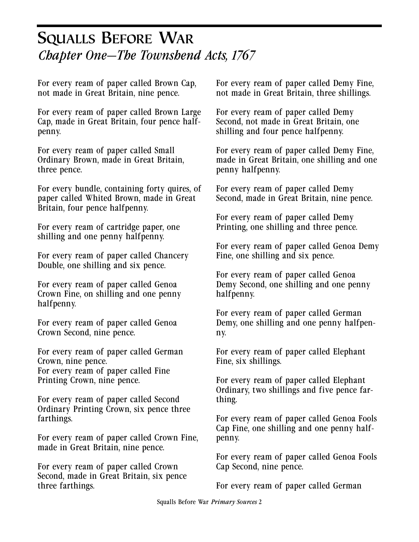For every ream of paper called Brown Cap, not made in Great Britain, nine pence.

For every ream of paper called Brown Large Cap, made in Great Britain, four pence halfpenny.

For every ream of paper called Small Ordinary Brown, made in Great Britain, three pence.

For every bundle, containing forty quires, of paper called Whited Brown, made in Great Britain, four pence halfpenny.

For every ream of cartridge paper, one shilling and one penny halfpenny.

For every ream of paper called Chancery Double, one shilling and six pence.

For every ream of paper called Genoa Crown Fine, on shilling and one penny halfpenny.

For every ream of paper called Genoa Crown Second, nine pence.

For every ream of paper called German Crown, nine pence. For every ream of paper called Fine Printing Crown, nine pence.

For every ream of paper called Second Ordinary Printing Crown, six pence three farthings.

For every ream of paper called Crown Fine, made in Great Britain, nine pence.

For every ream of paper called Crown Second, made in Great Britain, six pence three farthings.

For every ream of paper called Demy Fine, not made in Great Britain, three shillings.

For every ream of paper called Demy Second, not made in Great Britain, one shilling and four pence halfpenny.

For every ream of paper called Demy Fine, made in Great Britain, one shilling and one penny halfpenny.

For every ream of paper called Demy Second, made in Great Britain, nine pence.

For every ream of paper called Demy Printing, one shilling and three pence.

For every ream of paper called Genoa Demy Fine, one shilling and six pence.

For every ream of paper called Genoa Demy Second, one shilling and one penny halfpenny.

For every ream of paper called German Demy, one shilling and one penny halfpenny.

For every ream of paper called Elephant Fine, six shillings.

For every ream of paper called Elephant Ordinary, two shillings and five pence farthing.

For every ream of paper called Genoa Fools Cap Fine, one shilling and one penny halfpenny.

For every ream of paper called Genoa Fools Cap Second, nine pence.

For every ream of paper called German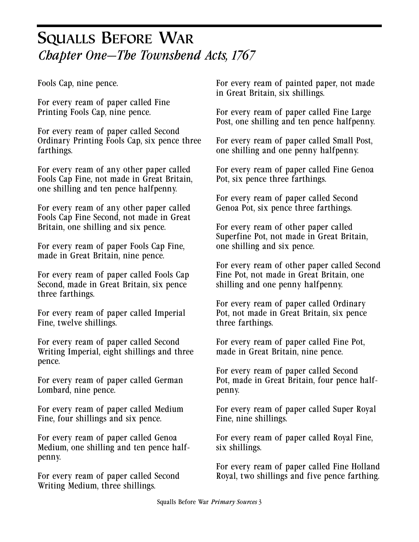Fools Cap, nine pence.

For every ream of paper called Fine Printing Fools Cap, nine pence.

For every ream of paper called Second Ordinary Printing Fools Cap, six pence three farthings.

For every ream of any other paper called Fools Cap Fine, not made in Great Britain, one shilling and ten pence halfpenny.

For every ream of any other paper called Fools Cap Fine Second, not made in Great Britain, one shilling and six pence.

For every ream of paper Fools Cap Fine, made in Great Britain, nine pence.

For every ream of paper called Fools Cap Second, made in Great Britain, six pence three farthings.

For every ream of paper called Imperial Fine, twelve shillings.

For every ream of paper called Second Writing Imperial, eight shillings and three pence.

For every ream of paper called German Lombard, nine pence.

For every ream of paper called Medium Fine, four shillings and six pence.

For every ream of paper called Genoa Medium, one shilling and ten pence halfpenny.

For every ream of paper called Second Writing Medium, three shillings.

For every ream of painted paper, not made in Great Britain, six shillings.

For every ream of paper called Fine Large Post, one shilling and ten pence halfpenny.

For every ream of paper called Small Post, one shilling and one penny halfpenny.

For every ream of paper called Fine Genoa Pot, six pence three farthings.

For every ream of paper called Second Genoa Pot, six pence three farthings.

For every ream of other paper called Superfine Pot, not made in Great Britain, one shilling and six pence.

For every ream of other paper called Second Fine Pot, not made in Great Britain, one shilling and one penny halfpenny.

For every ream of paper called Ordinary Pot, not made in Great Britain, six pence three farthings.

For every ream of paper called Fine Pot, made in Great Britain, nine pence.

For every ream of paper called Second Pot, made in Great Britain, four pence halfpenny.

For every ream of paper called Super Royal Fine, nine shillings.

For every ream of paper called Royal Fine, six shillings.

For every ream of paper called Fine Holland Royal, two shillings and five pence farthing.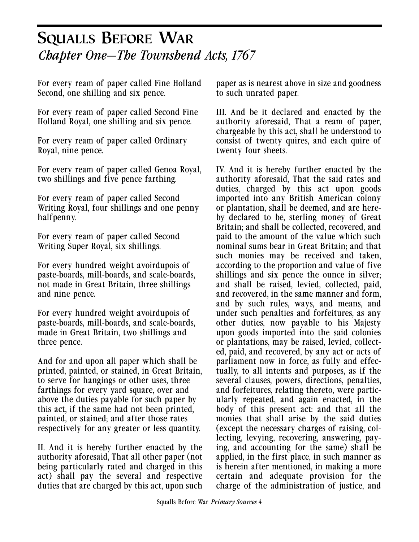For every ream of paper called Fine Holland Second, one shilling and six pence.

For every ream of paper called Second Fine Holland Royal, one shilling and six pence.

For every ream of paper called Ordinary Royal, nine pence.

For every ream of paper called Genoa Royal, two shillings and five pence farthing.

For every ream of paper called Second Writing Royal, four shillings and one penny halfpenny.

For every ream of paper called Second Writing Super Royal, six shillings.

For every hundred weight avoirdupois of paste-boards, mill-boards, and scale-boards, not made in Great Britain, three shillings and nine pence.

For every hundred weight avoirdupois of paste-boards, mill-boards, and scale-boards, made in Great Britain, two shillings and three pence.

And for and upon all paper which shall be printed, painted, or stained, in Great Britain, to serve for hangings or other uses, three farthings for every yard square, over and above the duties payable for such paper by this act, if the same had not been printed, painted, or stained; and after those rates respectively for any greater or less quantity.

II. And it is hereby further enacted by the authority aforesaid, That all other paper (not being particularly rated and charged in this act) shall pay the several and respective duties that are charged by this act, upon such paper as is nearest above in size and goodness to such unrated paper.

III. And be it declared and enacted by the authority aforesaid, That a ream of paper, chargeable by this act, shall be understood to consist of twenty quires, and each quire of twenty four sheets.

IV. And it is hereby further enacted by the authority aforesaid, That the said rates and duties, charged by this act upon goods imported into any British American colony or plantation, shall be deemed, and are hereby declared to be, sterling money of Great Britain; and shall be collected, recovered, and paid to the amount of the value which such nominal sums bear in Great Britain; and that such monies may be received and taken, according to the proportion and value of five shillings and six pence the ounce in silver; and shall be raised, levied, collected, paid, and recovered, in the same manner and form, and by such rules, ways, and means, and under such penalties and forfeitures, as any other duties, now payable to his Majesty upon goods imported into the said colonies or plantations, may be raised, levied, collected, paid, and recovered, by any act or acts of parliament now in force, as fully and effectually, to all intents and purposes, as if the several clauses, powers, directions, penalties, and forfeitures, relating thereto, were particularly repeated, and again enacted, in the body of this present act: and that all the monies that shall arise by the said duties (except the necessary charges of raising, collecting, levying, recovering, answering, paying, and accounting for the same) shall be applied, in the first place, in such manner as is herein after mentioned, in making a more certain and adequate provision for the charge of the administration of justice, and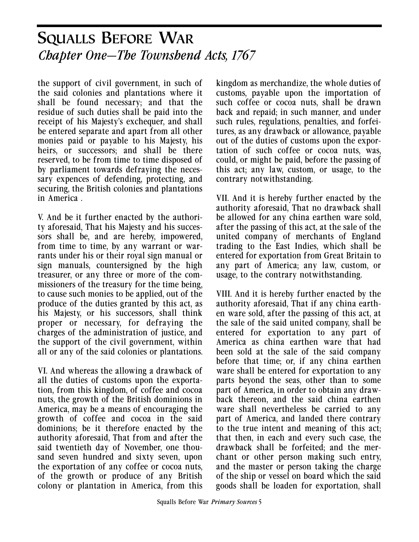the support of civil government, in such of the said colonies and plantations where it shall be found necessary; and that the residue of such duties shall be paid into the receipt of his Majesty's exchequer, and shall be entered separate and apart from all other monies paid or payable to his Majesty, his heirs, or successors; and shall be there reserved, to be from time to time disposed of by parliament towards defraying the necessary expences of defending, protecting, and securing, the British colonies and plantations in America .

V. And be it further enacted by the authority aforesaid, That his Majesty and his successors shall be, and are hereby, impowered, from time to time, by any warrant or warrants under his or their royal sign manual or sign manuals, countersigned by the high treasurer, or any three or more of the commissioners of the treasury for the time being, to cause such monies to be applied, out of the produce of the duties granted by this act, as his Majesty, or his successors, shall think proper or necessary, for defraying the charges of the administration of justice, and the support of the civil government, within all or any of the said colonies or plantations.

VI. And whereas the allowing a drawback of all the duties of customs upon the exportation, from this kingdom, of coffee and cocoa nuts, the growth of the British dominions in America, may be a means of encouraging the growth of coffee and cocoa in the said dominions; be it therefore enacted by the authority aforesaid, That from and after the said twentieth day of November, one thousand seven hundred and sixty seven, upon the exportation of any coffee or cocoa nuts, of the growth or produce of any British colony or plantation in America, from this kingdom as merchandize, the whole duties of customs, payable upon the importation of such coffee or cocoa nuts, shall be drawn back and repaid; in such manner, and under such rules, regulations, penalties, and forfeitures, as any drawback or allowance, payable out of the duties of customs upon the exportation of such coffee or cocoa nuts, was, could, or might be paid, before the passing of this act; any law, custom, or usage, to the contrary notwithstanding.

VII. And it is hereby further enacted by the authority aforesaid, That no drawback shall be allowed for any china earthen ware sold, after the passing of this act, at the sale of the united company of merchants of England trading to the East Indies, which shall be entered for exportation from Great Britain to any part of America; any law, custom, or usage, to the contrary notwithstanding.

VIII. And it is hereby further enacted by the authority aforesaid, That if any china earthen ware sold, after the passing of this act, at the sale of the said united company, shall be entered for exportation to any part of America as china earthen ware that had been sold at the sale of the said company before that time; or, if any china earthen ware shall be entered for exportation to any parts beyond the seas, other than to some part of America, in order to obtain any drawback thereon, and the said china earthen ware shall nevertheless be carried to any part of America, and landed there contrary to the true intent and meaning of this act; that then, in each and every such case, the drawback shall be forfeited; and the merchant or other person making such entry, and the master or person taking the charge of the ship or vessel on board which the said goods shall be loaden for exportation, shall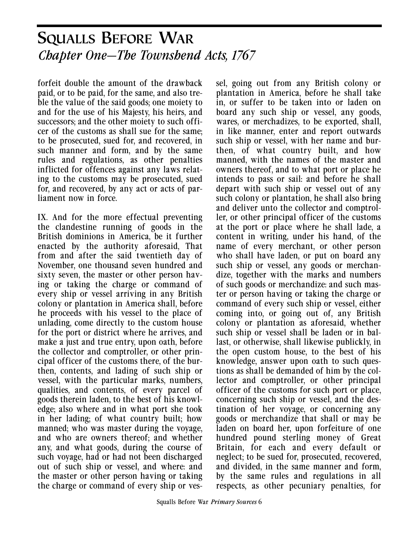forfeit double the amount of the drawback paid, or to be paid, for the same, and also treble the value of the said goods; one moiety to and for the use of his Majesty, his heirs, and successors; and the other moiety to such officer of the customs as shall sue for the same; to be prosecuted, sued for, and recovered, in such manner and form, and by the same rules and regulations, as other penalties inflicted for offences against any laws relating to the customs may be prosecuted, sued for, and recovered, by any act or acts of parliament now in force.

IX. And for the more effectual preventing the clandestine running of goods in the British dominions in America, be it further enacted by the authority aforesaid, That from and after the said twentieth day of November, one thousand seven hundred and sixty seven, the master or other person having or taking the charge or command of every ship or vessel arriving in any British colony or plantation in America shall, before he proceeds with his vessel to the place of unlading, come directly to the custom house for the port or district where he arrives, and make a just and true entry, upon oath, before the collector and comptroller, or other principal officer of the customs there, of the burthen, contents, and lading of such ship or vessel, with the particular marks, numbers, qualities, and contents, of every parcel of goods therein laden, to the best of his knowledge; also where and in what port she took in her lading; of what country built; how manned; who was master during the voyage, and who are owners thereof; and whether any, and what goods, during the course of such voyage, had or had not been discharged out of such ship or vessel, and where: and the master or other person having or taking the charge or command of every ship or vessel, going out from any British colony or plantation in America, before he shall take in, or suffer to be taken into or laden on board any such ship or vessel, any goods, wares, or merchadizes, to be exported, shall, in like manner, enter and report outwards such ship or vessel, with her name and burthen, of what country built, and how manned, with the names of the master and owners thereof, and to what port or place he intends to pass or sail: and before he shall depart with such ship or vessel out of any such colony or plantation, he shall also bring and deliver unto the collector and comptroller, or other principal officer of the customs at the port or place where he shall lade, a content in writing, under his hand, of the name of every merchant, or other person who shall have laden, or put on board any such ship or vessel, any goods or merchandize, together with the marks and numbers of such goods or merchandize: and such master or person having or taking the charge or command of every such ship or vessel, either coming into, or going out of, any British colony or plantation as aforesaid, whether such ship or vessel shall be laden or in ballast, or otherwise, shall likewise publickly, in the open custom house, to the best of his knowledge, answer upon oath to such questions as shall be demanded of him by the collector and comptroller, or other principal officer of the customs for such port or place, concerning such ship or vessel, and the destination of her voyage, or concerning any goods or merchandize that shall or may be laden on board her, upon forfeiture of one hundred pound sterling money of Great Britain, for each and every default or neglect; to be sued for, prosecuted, recovered, and divided, in the same manner and form, by the same rules and regulations in all respects, as other pecuniary penalties, for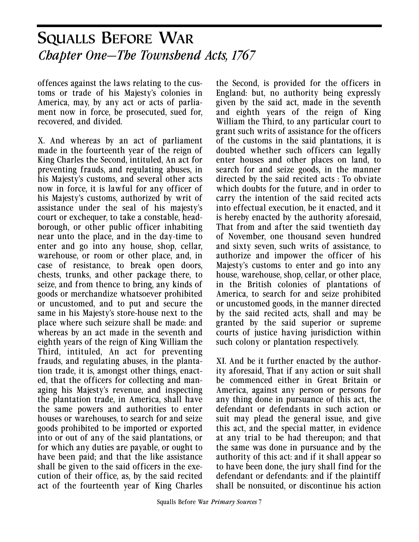offences against the laws relating to the customs or trade of his Majesty's colonies in America, may, by any act or acts of parliament now in force, be prosecuted, sued for, recovered, and divided.

X. And whereas by an act of parliament made in the fourteenth year of the reign of King Charles the Second, intituled, An act for preventing frauds, and regulating abuses, in his Majesty's customs, and several other acts now in force, it is lawful for any officer of his Majesty's customs, authorized by writ of assistance under the seal of his majesty's court or exchequer, to take a constable, headborough, or other public officer inhabiting near unto the place, and in the day-time to enter and go into any house, shop, cellar, warehouse, or room or other place, and, in case of resistance, to break open doors, chests, trunks, and other package there, to seize, and from thence to bring, any kinds of goods or merchandize whatsoever prohibited or uncustomed, and to put and secure the same in his Majesty's store-house next to the place where such seizure shall be made: and whereas by an act made in the seventh and eighth years of the reign of King William the Third, intituled, An act for preventing frauds, and regulating abuses, in the plantation trade, it is, amongst other things, enacted, that the officers for collecting and managing his Majesty's revenue, and inspecting the plantation trade, in America, shall have the same powers and authorities to enter houses or warehouses, to search for and seize goods prohibited to be imported or exported into or out of any of the said plantations, or for which any duties are payable, or ought to have been paid; and that the like assistance shall be given to the said officers in the execution of their office, as, by the said recited act of the fourteenth year of King Charles the Second, is provided for the officers in England: but, no authority being expressly given by the said act, made in the seventh and eighth years of the reign of King William the Third, to any particular court to grant such writs of assistance for the officers of the customs in the said plantations, it is doubted whether such officers can legally enter houses and other places on land, to search for and seize goods, in the manner directed by the said recited acts : To obviate which doubts for the future, and in order to carry the intention of the said recited acts into effectual execution, be it enacted, and it is hereby enacted by the authority aforesaid, That from and after the said twentieth day of November, one thousand seven hundred and sixty seven, such writs of assistance, to authorize and impower the officer of his Majesty's customs to enter and go into any house, warehouse, shop, cellar, or other place, in the British colonies of plantations of America, to search for and seize prohibited or uncustomed goods, in the manner directed by the said recited acts, shall and may be granted by the said superior or supreme courts of justice having jurisdiction within such colony or plantation respectively.

XI. And be it further enacted by the authority aforesaid, That if any action or suit shall be commenced either in Great Britain or America, against any person or persons for any thing done in pursuance of this act, the defendant or defendants in such action or suit may plead the general issue, and give this act, and the special matter, in evidence at any trial to be had thereupon; and that the same was done in pursuance and by the authority of this act: and if it shall appear so to have been done, the jury shall find for the defendant or defendants: and if the plaintiff shall be nonsuited, or discontinue his action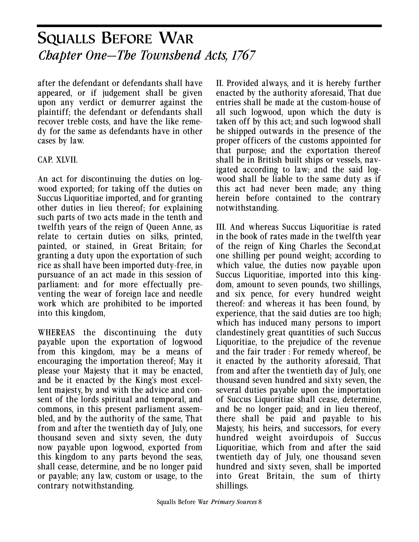after the defendant or defendants shall have appeared, or if judgement shall be given upon any verdict or demurrer against the plaintiff; the defendant or defendants shall recover treble costs, and have the like remedy for the same as defendants have in other cases by law.

#### CAP. XLVII.

An act for discontinuing the duties on logwood exported; for taking off the duties on Succus Liquoritiae imported, and for granting other duties in lieu thereof; for explaining such parts of two acts made in the tenth and twelfth years of the reign of Queen Anne, as relate to certain duties on silks, printed, painted, or stained, in Great Britain; for granting a duty upon the exportation of such rice as shall have been imported duty-free, in pursuance of an act made in this session of parliament: and for more effectually preventing the wear of foreign lace and needle work which are prohibited to be imported into this kingdom,

WHEREAS the discontinuing the duty payable upon the exportation of logwood from this kingdom, may be a means of encouraging the importation thereof; May it please your Majesty that it may be enacted, and be it enacted by the King's most excellent majesty, by and with the advice and consent of the lords spiritual and temporal, and commons, in this present parliament assembled, and by the authority of the same, That from and after the twentieth day of July, one thousand seven and sixty seven, the duty now payable upon logwood, exported from this kingdom to any parts beyond the seas, shall cease, determine, and be no longer paid or payable; any law, custom or usage, to the contrary notwithstanding.

II. Provided always, and it is hereby further enacted by the authority aforesaid, That due entries shall be made at the custom-house of all such logwood, upon which the duty is taken off by this act; and such logwood shall be shipped outwards in the presence of the proper officers of the customs appointed for that purpose; and the exportation thereof shall be in British built ships or vessels, navigated according to law; and the said logwood shall be liable to the same duty as if this act had never been made; any thing herein before contained to the contrary notwithstanding.

III. And whereas Succus Liquoritiae is rated in the book of rates made in the twelfth year of the reign of King Charles the Second,at one shilling per pound weight; according to which value, the duties now payable upon Succus Liquoritiae, imported into this kingdom, amount to seven pounds, two shillings, and six pence, for every hundred weight thereof: and whereas it has been found, by experience, that the said duties are too high; which has induced many persons to import clandestinely great quantities of such Succus Liquoritiae, to the prejudice of the revenue and the fair trader : For remedy whereof, be it enacted by the authority aforesaid, That from and after the twentieth day of July, one thousand seven hundred and sixty seven, the several duties payable upon the importation of Succus Liquoritiae shall cease, determine, and be no longer paid; and in lieu thereof, there shall be paid and payable to his Majesty, his heirs, and successors, for every hundred weight avoirdupois of Succus Liquoritiae, which from and after the said twentieth day of July, one thousand seven hundred and sixty seven, shall be imported into Great Britain, the sum of thirty shillings.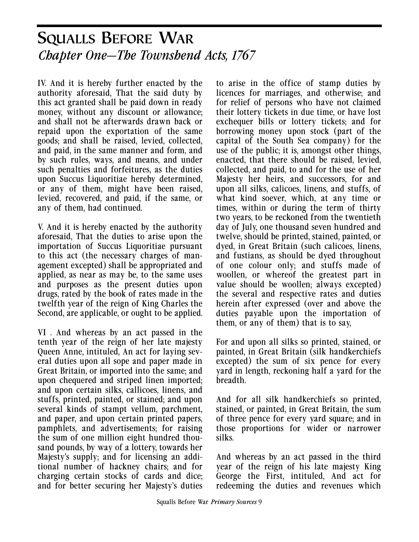IV. And it is hereby further enacted by the authority aforesaid, That the said duty by this act granted shall be paid down in ready money, without any discount or allowance; and shall not be afterwards drawn back or repaid upon the exportation of the same goods; and shall be raised, levied, collected, and paid, in the same manner and form, and by such rules, ways, and means, and under such penalties and forfeitures, as the duties upon Succus Liquoritiae hereby determined, or any of them, might have been raised, levied, recovered, and paid, if the same, or any of them, had continued.

V. And it is hereby enacted by the authority aforesaid, That the duties to arise upon the importation of Succus Liquoritiae pursuant to this act (the necessary charges of management excepted) shall be appropriated and applied, as near as may be, to the same uses and purposes as the present duties upon drugs, rated by the book of rates made in the twelfth year of the reign of King Charles the Second, are applicable, or ought to be applied.

VI . And whereas by an act passed in the tenth year of the reign of her late majesty Queen Anne, intituled, An act for laying several duties upon all sope and paper made in Great Britain, or imported into the same; and upon chequered and striped linen imported; and upon certain silks, callicoes, linens, and stuffs, printed, painted, or stained; and upon several kinds of stampt vellum, parchment, and paper, and upon certain printed papers, pamphlets, and advertisements; for raising the sum of one million eight hundred thousand pounds, by way of a lottery, towards her Majesty's supply; and for licensing an additional number of hackney chairs; and for charging certain stocks of cards and dice; and for better securing her Majesty's duties to arise in the office of stamp duties by licences for marriages, and otherwise; and for relief of persons who have not claimed their lottery tickets in due time, or have lost exchequer bills or lottery tickets; and for borrowing money upon stock (part of the capital of the South Sea company) for the use of the public; it is, amongst other things, enacted, that there should be raised, levied, collected, and paid, to and for the use of her Majesty her heirs, and successors, for and upon all silks, calicoes, linens, and stuffs, of what kind soever, which, at any time or times, within or during the term of thirty two years, to be reckoned from the twentieth day of July, one thousand seven hundred and twelve, should be printed, stained, painted, or dyed, in Great Britain (such calicoes, linens, and fustians, as should be dyed throughout of one colour only; and stuffs made of woollen, or whereof the greatest part in value should be woollen; always excepted) the several and respective rates and duties herein after expressed (over and above the duties payable upon the importation of them, or any of them) that is to say,

For and upon all silks so printed, stained, or painted, in Great Britain (silk handkerchiefs excepted) the sum of six pence for every yard in length, reckoning half a yard for the breadth.

And for all silk handkerchiefs so printed, stained, or painted, in Great Britain, the sum of three pence for every yard square; and in those proportions for wider or narrower silks.

And whereas by an act passed in the third year of the reign of his late majesty King George the First, intituled, And act for redeeming the duties and revenues which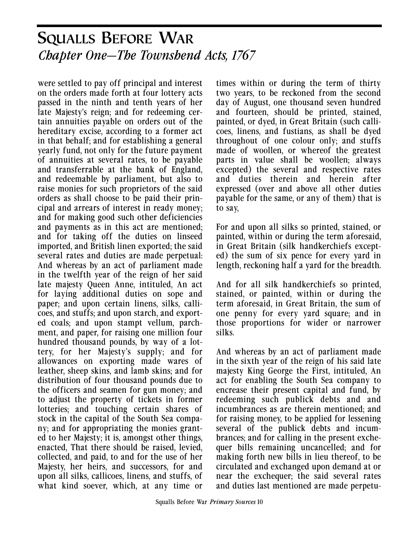were settled to pay off principal and interest on the orders made forth at four lottery acts passed in the ninth and tenth years of her late Majesty's reign; and for redeeming certain annuities payable on orders out of the hereditary excise, according to a former act in that behalf; and for establishing a general yearly fund, not only for the future payment of annuities at several rates, to be payable and transferrable at the bank of England, and redeemable by parliament, but also to raise monies for such proprietors of the said orders as shall choose to be paid their principal and arrears of interest in ready money; and for making good such other deficiencies and payments as in this act are mentioned; and for taking off the duties on linseed imported, and British linen exported; the said several rates and duties are made perpetual: And whereas by an act of parliament made in the twelfth year of the reign of her said late majesty Queen Anne, intituled, An act for laying additional duties on sope and paper; and upon certain linens, silks, callicoes, and stuffs; and upon starch, and exported coals; and upon stampt vellum, parchment, and paper, for raising one million four hundred thousand pounds, by way of a lottery, for her Majesty's supply; and for allowances on exporting made wares of leather, sheep skins, and lamb skins; and for distribution of four thousand pounds due to the officers and seamen for gun money; and to adjust the property of tickets in former lotteries; and touching certain shares of stock in the capital of the South Sea company; and for appropriating the monies granted to her Majesty; it is, amongst other things, enacted, That there should be raised, levied, collected, and paid, to and for the use of her Majesty, her heirs, and successors, for and upon all silks, callicoes, linens, and stuffs, of what kind soever, which, at any time or times within or during the term of thirty two years, to be reckoned from the second day of August, one thousand seven hundred and fourteen, should be printed, stained, painted, or dyed, in Great Britain (such callicoes, linens, and fustians, as shall be dyed throughout of one colour only; and stuffs made of woollen, or whereof the greatest parts in value shall be woollen; always excepted) the several and respective rates and duties therein and herein after expressed (over and above all other duties payable for the same, or any of them) that is to say,

For and upon all silks so printed, stained, or painted, within or during the term aforesaid, in Great Britain (silk handkerchiefs excepted) the sum of six pence for every yard in length, reckoning half a yard for the breadth.

And for all silk handkerchiefs so printed, stained, or painted, within or during the term aforesaid, in Great Britain, the sum of one penny for every yard square; and in those proportions for wider or narrower silks.

And whereas by an act of parliament made in the sixth year of the reign of his said late majesty King George the First, intituled, An act for enabling the South Sea company to encrease their present capital and fund, by redeeming such publick debts and and incumbrances as are therein mentioned; and for raising money, to be applied for lessening several of the publick debts and incumbrances; and for calling in the present exchequer bills remaining uncancelled; and for making forth new bills in lieu thereof, to be circulated and exchanged upon demand at or near the exchequer; the said several rates and duties last mentioned are made perpetu-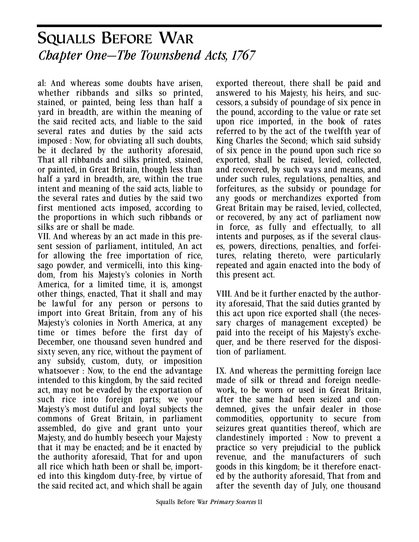al: And whereas some doubts have arisen, whether ribbands and silks so printed, stained, or painted, being less than half a yard in breadth, are within the meaning of the said recited acts, and liable to the said several rates and duties by the said acts imposed : Now, for obviating all such doubts, be it declared by the authority aforesaid, That all ribbands and silks printed, stained, or painted, in Great Britain, though less than half a yard in breadth, are, within the true intent and meaning of the said acts, liable to the several rates and duties by the said two first mentioned acts imposed, according to the proportions in which such ribbands or silks are or shall be made.

VII. And whereas by an act made in this present session of parliament, intituled, An act for allowing the free importation of rice, sago powder, and vermicelli, into this kingdom, from his Majesty's colonies in North America, for a limited time, it is, amongst other things, enacted, That it shall and may be lawful for any person or persons to import into Great Britain, from any of his Majesty's colonies in North America, at any time or times before the first day of December, one thousand seven hundred and sixty seven, any rice, without the payment of any subsidy, custom, duty, or imposition whatsoever : Now, to the end the advantage intended to this kingdom, by the said recited act, may not be evaded by the exportation of such rice into foreign parts; we your Majesty's most dutiful and loyal subjects the commons of Great Britain, in parliament assembled, do give and grant unto your Majesty, and do humbly beseech your Majesty that it may be enacted; and be it enacted by the authority aforesaid, That for and upon all rice which hath been or shall be, imported into this kingdom duty-free, by virtue of the said recited act, and which shall be again

exported thereout, there shall be paid and answered to his Majesty, his heirs, and successors, a subsidy of poundage of six pence in the pound, according to the value or rate set upon rice imported, in the book of rates referred to by the act of the twelfth year of King Charles the Second; which said subsidy of six pence in the pound upon such rice so exported, shall be raised, levied, collected, and recovered, by such ways and means, and under such rules, regulations, penalties, and forfeitures, as the subsidy or poundage for any goods or merchandizes exported from Great Britain may be raised, levied, collected, or recovered, by any act of parliament now in force, as fully and effectually, to all intents and purposes, as if the several clauses, powers, directions, penalties, and forfeitures, relating thereto, were particularly repeated and again enacted into the body of this present act.

VIII. And be it further enacted by the authority aforesaid, That the said duties granted by this act upon rice exported shall (the necessary charges of management excepted) be paid into the receipt of his Majesty's exchequer, and be there reserved for the disposition of parliament.

IX. And whereas the permitting foreign lace made of silk or thread and foreign needlework, to be worn or used in Great Britain, after the same had been seized and condemned, gives the unfair dealer in those commodities, opportunity to secure from seizures great quantities thereof, which are clandestinely imported : Now to prevent a practice so very prejudicial to the publick revenue, and the manufacturers of such goods in this kingdom; be it therefore enacted by the authority aforesaid, That from and after the seventh day of July, one thousand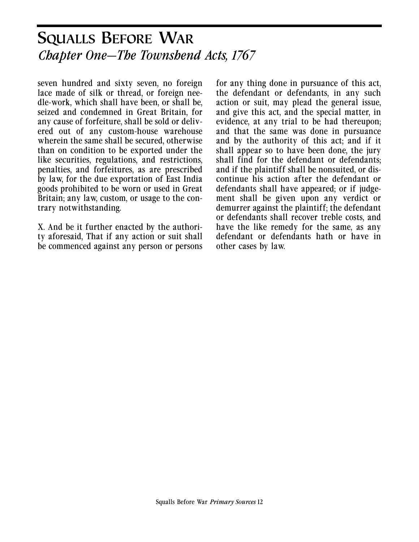seven hundred and sixty seven, no foreign lace made of silk or thread, or foreign needle-work, which shall have been, or shall be, seized and condemned in Great Britain, for any cause of forfeiture, shall be sold or delivered out of any custom-house warehouse wherein the same shall be secured, otherwise than on condition to be exported under the like securities, regulations, and restrictions, penalties, and forfeitures, as are prescribed by law, for the due exportation of East India goods prohibited to be worn or used in Great Britain; any law, custom, or usage to the contrary notwithstanding.

X. And be it further enacted by the authority aforesaid, That if any action or suit shall be commenced against any person or persons for any thing done in pursuance of this act, the defendant or defendants, in any such action or suit, may plead the general issue, and give this act, and the special matter, in evidence, at any trial to be had thereupon; and that the same was done in pursuance and by the authority of this act; and if it shall appear so to have been done, the jury shall find for the defendant or defendants; and if the plaintiff shall be nonsuited, or discontinue his action after the defendant or defendants shall have appeared; or if judgement shall be given upon any verdict or demurrer against the plaintiff; the defendant or defendants shall recover treble costs, and have the like remedy for the same, as any defendant or defendants hath or have in other cases by law.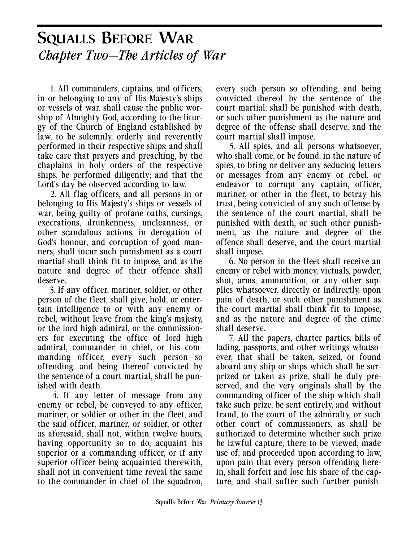1. All commanders, captains, and officers, in or belonging to any of His Majesty's ships or vessels of war, shall cause the public worship of Almighty God, according to the liturgy of the Church of England established by law, to be solemnly, orderly and reverently performed in their respective ships; and shall take care that prayers and preaching, by the chaplains in holy orders of the respective ships, be performed diligently; and that the Lord's day be observed according to law.

2. All flag officers, and all persons in or belonging to His Majesty's ships or vessels of war, being guilty of profane oaths, cursings, execrations, drunkenness, uncleanness, or other scandalous actions, in derogation of God's honour, and corruption of good manners, shall incur such punishment as a court martial shall think fit to impose, and as the nature and degree of their offence shall deserve.

3. If any officer, mariner, soldier, or other person of the fleet, shall give, hold, or entertain intelligence to or with any enemy or rebel, without leave from the king's majesty, or the lord high admiral, or the commissioners for executing the office of lord high admiral, commander in chief, or his commanding officer, every such person so offending, and being thereof convicted by the sentence of a court martial, shall be punished with death.

4. If any letter of message from any enemy or rebel, be conveyed to any officer, mariner, or soldier or other in the fleet, and the said officer, mariner, or soldier, or other as aforesaid, shall not, within twelve hours, having opportunity so to do, acquaint his superior or a commanding officer, or if any superior officer being acquainted therewith, shall not in convenient time reveal the same to the commander in chief of the squadron, every such person so offending, and being convicted thereof by the sentence of the court martial, shall be punished with death, or such other punishment as the nature and degree of the offense shall deserve, and the court martial shall impose.

5. All spies, and all persons whatsoever, who shall come, or be found, in the nature of spies, to bring or deliver any seducing letters or messages from any enemy or rebel, or endeavor to corrupt any captain, officer, mariner, or other in the fleet, to betray his trust, being convicted of any such offense by the sentence of the court martial, shall be punished with death, or such other punishment, as the nature and degree of the offence shall deserve, and the court martial shall impose.

6. No person in the fleet shall receive an enemy or rebel with money, victuals, powder, shot, arms, ammunition, or any other supplies whatsoever, directly or indirectly, upon pain of death, or such other punishment as the court martial shall think fit to impose, and as the nature and degree of the crime shall deserve.

7. All the papers, charter parties, bills of lading, passports, and other writings whatsoever, that shall be taken, seized, or found aboard any ship or ships which shall be surprized or taken as prize, shall be duly preserved, and the very originals shall by the commanding officer of the ship which shall take such prize, be sent entirely, and without fraud, to the court of the admiralty, or such other court of commissioners, as shall be authorized to determine whether such prize be lawful capture, there to be viewed, made use of, and proceeded upon according to law, upon pain that every person offending herein, shall forfeit and lose his share of the capture, and shall suffer such further punish-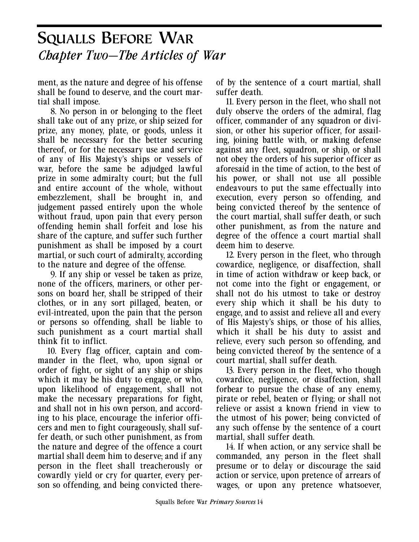ment, as the nature and degree of his offense shall be found to deserve, and the court martial shall impose.

8. No person in or belonging to the fleet shall take out of any prize, or ship seized for prize, any money, plate, or goods, unless it shall be necessary for the better securing thereof, or for the necessary use and service of any of His Majesty's ships or vessels of war, before the same be adjudged lawful prize in some admiralty court; but the full and entire account of the whole, without embezzlement, shall be brought in, and judgement passed entirely upon the whole without fraud, upon pain that every person offending hemin shall forfeit and lose his share of the capture, and suffer such further punishment as shall be imposed by a court martial, or such court of admiralty, according to the nature and degree of the offense.

9. If any ship or vessel be taken as prize, none of the officers, mariners, or other persons on board her, shall be stripped of their clothes, or in any sort pillaged, beaten, or evil-intreated, upon the pain that the person or persons so offending, shall be liable to such punishment as a court martial shall think fit to inflict.

10. Every flag officer, captain and commander in the fleet, who, upon signal or order of fight, or sight of any ship or ships which it may be his duty to engage, or who, upon likelihood of engagement, shall not make the necessary preparations for fight, and shall not in his own person, and according to his place, encourage the inferior officers and men to fight courageously, shall suffer death, or such other punishment, as from the nature and degree of the offence a court martial shall deem him to deserve; and if any person in the fleet shall treacherously or cowardly yield or cry for quarter, every person so offending, and being convicted thereof by the sentence of a court martial, shall suffer death.

11. Every person in the fleet, who shall not duly observe the orders of the admiral, flag officer, commander of any squadron or division, or other his superior officer, for assailing, joining battle with, or making defense against any fleet, squadron, or ship, or shall not obey the orders of his superior officer as aforesaid in the time of action, to the best of his power, or shall not use all possible endeavours to put the same effectually into execution, every person so offending, and being convicted thereof by the sentence of the court martial, shall suffer death, or such other punishment, as from the nature and degree of the offence a court martial shall deem him to deserve.

12. Every person in the fleet, who through cowardice, negligence, or disaffection, shall in time of action withdraw or keep back, or not come into the fight or engagement, or shall not do his utmost to take or destroy every ship which it shall be his duty to engage, and to assist and relieve all and every of His Majesty's ships, or those of his allies, which it shall be his duty to assist and relieve, every such person so offending, and being convicted thereof by the sentence of a court martial, shall suffer death.

13. Every person in the fleet, who though cowardice, negligence, or disaffection, shall forbear to pursue the chase of any enemy, pirate or rebel, beaten or flying; or shall not relieve or assist a known friend in view to the utmost of his power; being convicted of any such offense by the sentence of a court martial, shall suffer death.

14. If when action, or any service shall be commanded, any person in the fleet shall presume or to delay or discourage the said action or service, upon pretence of arrears of wages, or upon any pretence whatsoever,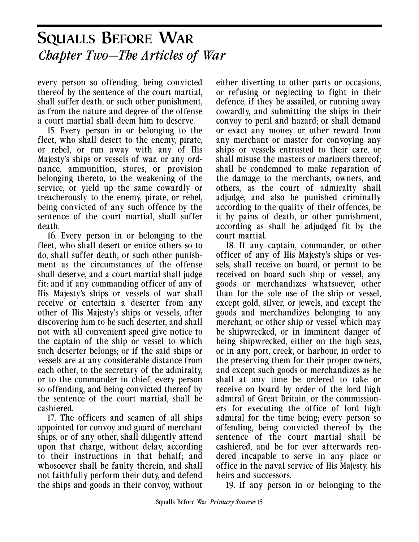every person so offending, being convicted thereof by the sentence of the court martial, shall suffer death, or such other punishment, as from the nature and degree of the offense a court martial shall deem him to deserve.

15. Every person in or belonging to the fleet, who shall desert to the enemy, pirate, or rebel, or run away with any of His Majesty's ships or vessels of war, or any ordnance, ammunition, stores, or provision belonging thereto, to the weakening of the service, or yield up the same cowardly or treacherously to the enemy, pirate, or rebel, being convicted of any such offence by the sentence of the court martial, shall suffer death.

16. Every person in or belonging to the fleet, who shall desert or entice others so to do, shall suffer death, or such other punishment as the circumstances of the offense shall deserve, and a court martial shall judge fit: and if any commanding officer of any of His Majesty's ships or vessels of war shall receive or entertain a deserter from any other of His Majesty's ships or vessels, after discovering him to be such deserter, and shall not with all convenient speed give notice to the captain of the ship or vessel to which such deserter belongs; or if the said ships or vessels are at any considerable distance from each other, to the secretary of the admiralty, or to the commander in chief; every person so offending, and being convicted thereof by the sentence of the court martial, shall be cashiered.

17. The officers and seamen of all ships appointed for convoy and guard of merchant ships, or of any other, shall diligently attend upon that charge, without delay, according to their instructions in that behalf; and whosoever shall be faulty therein, and shall not faithfully perform their duty, and defend the ships and goods in their convoy, without either diverting to other parts or occasions, or refusing or neglecting to fight in their defence, if they be assailed, or running away cowardly, and submitting the ships in their convoy to peril and hazard; or shall demand or exact any money or other reward from any merchant or master for convoying any ships or vessels entrusted to their care, or shall misuse the masters or mariners thereof; shall be condemned to make reparation of the damage to the merchants, owners, and others, as the court of admiralty shall adjudge, and also be punished criminally according to the quality of their offences, be it by pains of death, or other punishment, according as shall be adjudged fit by the court martial.

18. If any captain, commander, or other officer of any of His Majesty's ships or vessels, shall receive on board, or permit to be received on board such ship or vessel, any goods or merchandizes whatsoever, other than for the sole use of the ship or vessel, except gold, silver, or jewels, and except the goods and merchandizes belonging to any merchant, or other ship or vessel which may be shipwrecked, or in imminent danger of being shipwrecked, either on the high seas, or in any port, creek, or harbour, in order to the preserving them for their proper owners, and except such goods or merchandizes as he shall at any time be ordered to take or receive on board by order of the lord high admiral of Great Britain, or the commissioners for executing the office of lord high admiral for the time being; every person so offending, being convicted thereof by the sentence of the court martial shall be cashiered, and be for ever afterwards rendered incapable to serve in any place or office in the naval service of His Majesty, his heirs and successors.

19. If any person in or belonging to the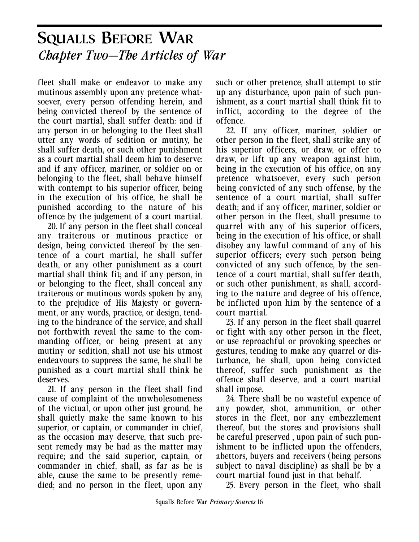fleet shall make or endeavor to make any mutinous assembly upon any pretence whatsoever, every person offending herein, and being convicted thereof by the sentence of the court martial, shall suffer death: and if any person in or belonging to the fleet shall utter any words of sedition or mutiny, he shall suffer death, or such other punishment as a court martial shall deem him to deserve: and if any officer, mariner, or soldier on or belonging to the fleet, shall behave himself with contempt to his superior officer, being in the execution of his office, he shall be punished according to the nature of his offence by the judgement of a court martial.

20. If any person in the fleet shall conceal any traiterous or mutinous practice or design, being convicted thereof by the sentence of a court martial, he shall suffer death, or any other punishment as a court martial shall think fit; and if any person, in or belonging to the fleet, shall conceal any traiterous or mutinous words spoken by any, to the prejudice of His Majesty or government, or any words, practice, or design, tending to the hindrance of the service, and shall not forthwith reveal the same to the commanding officer, or being present at any mutiny or sedition, shall not use his utmost endeavours to suppress the same, he shall be punished as a court martial shall think he deserves.

21. If any person in the fleet shall find cause of complaint of the unwholesomeness of the victual, or upon other just ground, he shall quietly make the same known to his superior, or captain, or commander in chief, as the occasion may deserve, that such present remedy may be had as the matter may require; and the said superior, captain, or commander in chief, shall, as far as he is able, cause the same to be presently remedied; and no person in the fleet, upon any

such or other pretence, shall attempt to stir up any disturbance, upon pain of such punishment, as a court martial shall think fit to inflict, according to the degree of the offence.

22. If any officer, mariner, soldier or other person in the fleet, shall strike any of his superior officers, or draw, or offer to draw, or lift up any weapon against him, being in the execution of his office, on any pretence whatsoever, every such person being convicted of any such offense, by the sentence of a court martial, shall suffer death; and if any officer, mariner, soldier or other person in the fleet, shall presume to quarrel with any of his superior officers, being in the execution of his office, or shall disobey any lawful command of any of his superior officers; every such person being convicted of any such offence, by the sentence of a court martial, shall suffer death, or such other punishment, as shall, according to the nature and degree of his offence, be inflicted upon him by the sentence of a court martial.

23. If any person in the fleet shall quarrel or fight with any other person in the fleet, or use reproachful or provoking speeches or gestures, tending to make any quarrel or disturbance, he shall, upon being convicted thereof, suffer such punishment as the offence shall deserve, and a court martial shall impose.

24. There shall be no wasteful expence of any powder, shot, ammunition, or other stores in the fleet, nor any embezzlement thereof, but the stores and provisions shall be careful preserved , upon pain of such punishment to be inflicted upon the offenders, abettors, buyers and receivers (being persons subject to naval discipline) as shall be by a court martial found just in that behalf.

25. Every person in the fleet, who shall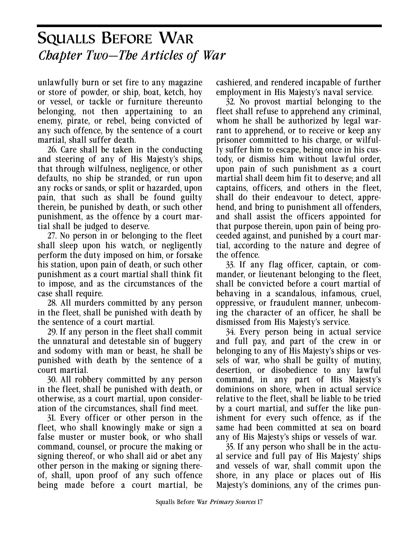unlawfully burn or set fire to any magazine or store of powder, or ship, boat, ketch, hoy or vessel, or tackle or furniture thereunto belonging, not then appertaining to an enemy, pirate, or rebel, being convicted of any such offence, by the sentence of a court martial, shall suffer death.

26. Care shall be taken in the conducting and steering of any of His Majesty's ships, that through wilfulness, negligence, or other defaults, no ship be stranded, or run upon any rocks or sands, or split or hazarded, upon pain, that such as shall be found guilty therein, be punished by death, or such other punishment, as the offence by a court martial shall be judged to deserve.

27. No person in or belonging to the fleet shall sleep upon his watch, or negligently perform the duty imposed on him, or forsake his station, upon pain of death, or such other punishment as a court martial shall think fit to impose, and as the circumstances of the case shall require.

28. All murders committed by any person in the fleet, shall be punished with death by the sentence of a court martial.

29. If any person in the fleet shall commit the unnatural and detestable sin of buggery and sodomy with man or beast, he shall be punished with death by the sentence of a court martial.

30. All robbery committed by any person in the fleet, shall be punished with death, or otherwise, as a court martial, upon consideration of the circumstances, shall find meet.

31. Every officer or other person in the fleet, who shall knowingly make or sign a false muster or muster book, or who shall command, counsel, or procure the making or signing thereof, or who shall aid or abet any other person in the making or signing thereof, shall, upon proof of any such offence being made before a court martial, be cashiered, and rendered incapable of further employment in His Majesty's naval service.

32. No provost martial belonging to the fleet shall refuse to apprehend any criminal, whom he shall be authorized by legal warrant to apprehend, or to receive or keep any prisoner committed to his charge, or wilfully suffer him to escape, being once in his custody, or dismiss him without lawful order, upon pain of such punishment as a court martial shall deem him fit to deserve; and all captains, officers, and others in the fleet, shall do their endeavour to detect, apprehend, and bring to punishment all offenders, and shall assist the officers appointed for that purpose therein, upon pain of being proceeded against, and punished by a court martial, according to the nature and degree of the offence.

33. If any flag officer, captain, or commander, or lieutenant belonging to the fleet, shall be convicted before a court martial of behaving in a scandalous, infamous, cruel, oppressive, or fraudulent manner, unbecoming the character of an officer, he shall be dismissed from His Majesty's service.

34. Every person being in actual service and full pay, and part of the crew in or belonging to any of His Majesty's ships or vessels of war, who shall be guilty of mutiny, desertion, or disobedience to any lawful command, in any part of His Majesty's dominions on shore, when in actual service relative to the fleet, shall be liable to be tried by a court martial, and suffer the like punishment for every such offence, as if the same had been committed at sea on board any of His Majesty's ships or vessels of war.

35. If any person who shall be in the actual service and full pay of His Majesty' ships and vessels of war, shall commit upon the shore, in any place or places out of His Majesty's dominions, any of the crimes pun-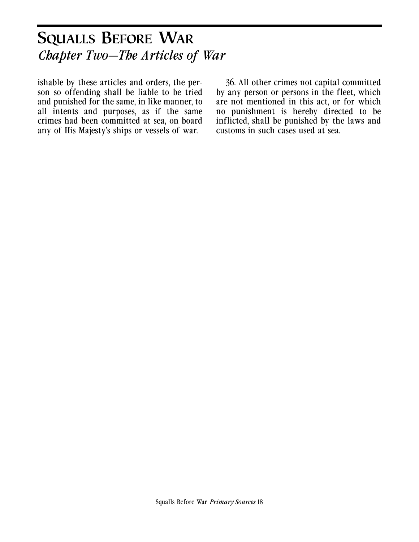ishable by these articles and orders, the person so offending shall be liable to be tried and punished for the same, in like manner, to all intents and purposes, as if the same crimes had been committed at sea, on board any of His Majesty's ships or vessels of war.

36. All other crimes not capital committed by any person or persons in the fleet, which are not mentioned in this act, or for which no punishment is hereby directed to be inflicted, shall be punished by the laws and customs in such cases used at sea.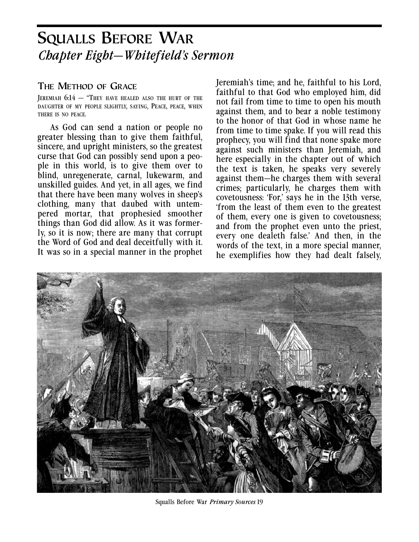#### **THE METHOD OF GRACE**

JEREMIAH 6:14 — "THEY HAVE HEALED ALSO THE HURT OF THE DAUGHTER OF MY PEOPLE SLIGHTLY, SAYING, PEACE, PEACE, WHEN THERE IS NO PEACE.

As God can send a nation or people no greater blessing than to give them faithful, sincere, and upright ministers, so the greatest curse that God can possibly send upon a people in this world, is to give them over to blind, unregenerate, carnal, lukewarm, and unskilled guides. And yet, in all ages, we find that there have been many wolves in sheep's clothing, many that daubed with untempered mortar, that prophesied smoother things than God did allow. As it was formerly, so it is now; there are many that corrupt the Word of God and deal deceitfully with it. It was so in a special manner in the prophet

Jeremiah's time; and he, faithful to his Lord, faithful to that God who employed him, did not fail from time to time to open his mouth against them, and to bear a noble testimony to the honor of that God in whose name he from time to time spake. If you will read this prophecy, you will find that none spake more against such ministers than Jeremiah, and here especially in the chapter out of which the text is taken, he speaks very severely against them—he charges them with several crimes; particularly, he charges them with covetousness: 'For,' says he in the 13th verse, 'from the least of them even to the greatest of them, every one is given to covetousness; and from the prophet even unto the priest, every one dealeth false.' And then, in the words of the text, in a more special manner, he exemplifies how they had dealt falsely,



Squalls Before War *Primary Sources* 19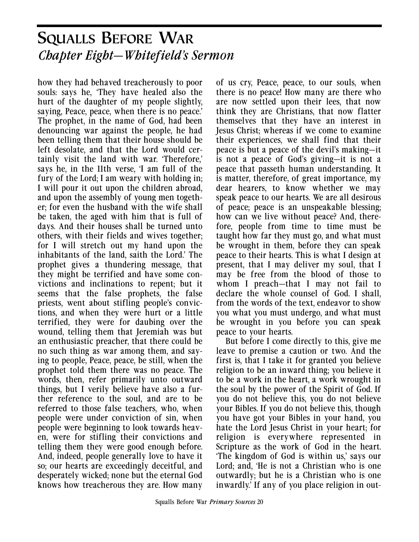how they had behaved treacherously to poor souls: says he, 'They have healed also the hurt of the daughter of my people slightly, saying, Peace, peace, when there is no peace.' The prophet, in the name of God, had been denouncing war against the people, he had been telling them that their house should be left desolate, and that the Lord would certainly visit the land with war. 'Therefore,' says he, in the 11th verse, 'I am full of the fury of the Lord; I am weary with holding in; I will pour it out upon the children abroad, and upon the assembly of young men together; for even the husband with the wife shall be taken, the aged with him that is full of days. And their houses shall be turned unto others, with their fields and wives together; for I will stretch out my hand upon the inhabitants of the land, saith the Lord.' The prophet gives a thundering message, that they might be terrified and have some convictions and inclinations to repent; but it seems that the false prophets, the false priests, went about stifling people's convictions, and when they were hurt or a little terrified, they were for daubing over the wound, telling them that Jeremiah was but an enthusiastic preacher, that there could be no such thing as war among them, and saying to people, Peace, peace, be still, when the prophet told them there was no peace. The words, then, refer primarily unto outward things, but I verily believe have also a further reference to the soul, and are to be referred to those false teachers, who, when people were under conviction of sin, when people were beginning to look towards heaven, were for stifling their convictions and telling them they were good enough before. And, indeed, people generally love to have it so; our hearts are exceedingly deceitful, and desperately wicked; none but the eternal God knows how treacherous they are. How many

of us cry, Peace, peace, to our souls, when there is no peace! How many are there who are now settled upon their lees, that now think they are Christians, that now flatter themselves that they have an interest in Jesus Christ; whereas if we come to examine their experiences, we shall find that their peace is but a peace of the devil's making—it is not a peace of God's giving—it is not a peace that passeth human understanding. It is matter, therefore, of great importance, my dear hearers, to know whether we may speak peace to our hearts. We are all desirous of peace; peace is an unspeakable blessing; how can we live without peace? And, therefore, people from time to time must be taught how far they must go, and what must be wrought in them, before they can speak peace to their hearts. This is what I design at present, that I may deliver my soul, that I may be free from the blood of those to whom I preach—that I may not fail to declare the whole counsel of God. I shall, from the words of the text, endeavor to show you what you must undergo, and what must be wrought in you before you can speak peace to your hearts.

But before I come directly to this, give me leave to premise a caution or two. And the first is, that I take it for granted you believe religion to be an inward thing; you believe it to be a work in the heart, a work wrought in the soul by the power of the Spirit of God. If you do not believe this, you do not believe your Bibles. If you do not believe this, though you have got your Bibles in your hand, you hate the Lord Jesus Christ in your heart; for religion is everywhere represented in Scripture as the work of God in the heart. 'The kingdom of God is within us,' says our Lord; and, 'He is not a Christian who is one outwardly; but he is a Christian who is one inwardly.' If any of you place religion in out-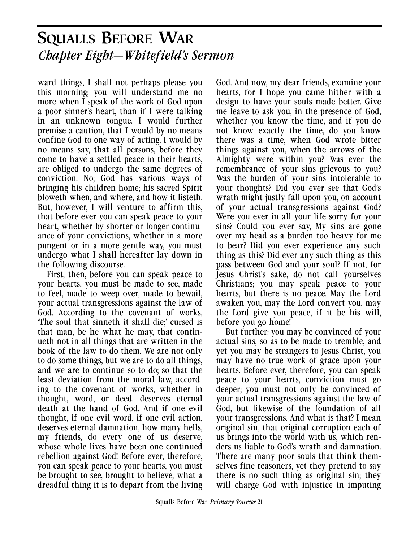ward things, I shall not perhaps please you this morning; you will understand me no more when I speak of the work of God upon a poor sinner's heart, than if I were talking in an unknown tongue. I would further premise a caution, that I would by no means confine God to one way of acting. I would by no means say, that all persons, before they come to have a settled peace in their hearts, are obliged to undergo the same degrees of conviction. No; God has various ways of bringing his children home; his sacred Spirit bloweth when, and where, and how it listeth. But, however, I will venture to affirm this, that before ever you can speak peace to your heart, whether by shorter or longer continuance of your convictions, whether in a more pungent or in a more gentle way, you must undergo what I shall hereafter lay down in the following discourse.

First, then, before you can speak peace to your hearts, you must be made to see, made to feel, made to weep over, made to bewail, your actual transgressions against the law of God. According to the covenant of works, 'The soul that sinneth it shall die;' cursed is that man, be he what he may, that continueth not in all things that are written in the book of the law to do them. We are not only to do some things, but we are to do all things, and we are to continue so to do; so that the least deviation from the moral law, according to the covenant of works, whether in thought, word, or deed, deserves eternal death at the hand of God. And if one evil thought, if one evil word, if one evil action, deserves eternal damnation, how many hells, my friends, do every one of us deserve, whose whole lives have been one continued rebellion against God! Before ever, therefore, you can speak peace to your hearts, you must be brought to see, brought to believe, what a dreadful thing it is to depart from the living

God. And now, my dear friends, examine your hearts, for I hope you came hither with a design to have your souls made better. Give me leave to ask you, in the presence of God, whether you know the time, and if you do not know exactly the time, do you know there was a time, when God wrote bitter things against you, when the arrows of the Almighty were within you? Was ever the remembrance of your sins grievous to you? Was the burden of your sins intolerable to your thoughts? Did you ever see that God's wrath might justly fall upon you, on account of your actual transgressions against God? Were you ever in all your life sorry for your sins? Could you ever say, My sins are gone over my head as a burden too heavy for me to bear? Did you ever experience any such thing as this? Did ever any such thing as this pass between God and your soul? If not, for Jesus Christ's sake, do not call yourselves Christians; you may speak peace to your hearts, but there is no peace. May the Lord awaken you, may the Lord convert you, may the Lord give you peace, if it be his will, before you go home!

But further: you may be convinced of your actual sins, so as to be made to tremble, and yet you may be strangers to Jesus Christ, you may have no true work of grace upon your hearts. Before ever, therefore, you can speak peace to your hearts, conviction must go deeper; you must not only be convinced of your actual transgressions against the law of God, but likewise of the foundation of all your transgressions. And what is that? I mean original sin, that original corruption each of us brings into the world with us, which renders us liable to God's wrath and damnation. There are many poor souls that think themselves fine reasoners, yet they pretend to say there is no such thing as original sin; they will charge God with injustice in imputing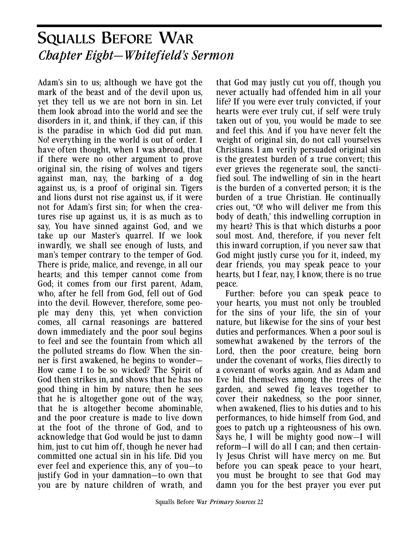Adam's sin to us; although we have got the mark of the beast and of the devil upon us, yet they tell us we are not born in sin. Let them look abroad into the world and see the disorders in it, and think, if they can, if this is the paradise in which God did put man. No! everything in the world is out of order. I have often thought, when I was abroad, that if there were no other argument to prove original sin, the rising of wolves and tigers against man, nay, the barking of a dog against us, is a proof of original sin. Tigers and lions durst not rise against us, if it were not for Adam's first sin; for when the creatures rise up against us, it is as much as to say, You have sinned against God, and we take up our Master's quarrel. If we look inwardly, we shall see enough of lusts, and man's temper contrary to the temper of God. There is pride, malice, and revenge, in all our hearts; and this temper cannot come from God; it comes from our first parent, Adam, who, after he fell from God, fell out of God into the devil. However, therefore, some people may deny this, yet when conviction comes, all carnal reasonings are battered down immediately and the poor soul begins to feel and see the fountain from which all the polluted streams do flow. When the sinner is first awakened, he begins to wonder— How came I to be so wicked? The Spirit of God then strikes in, and shows that he has no good thing in him by nature; then he sees that he is altogether gone out of the way, that he is altogether become abominable, and the poor creature is made to live down at the foot of the throne of God, and to acknowledge that God would be just to damn him, just to cut him off, though he never had committed one actual sin in his life. Did you ever feel and experience this, any of you—to justify God in your damnation—to own that you are by nature children of wrath, and that God may justly cut you off, though you never actually had offended him in all your life? If you were ever truly convicted, if your hearts were ever truly cut, if self were truly taken out of you, you would be made to see and feel this. And if you have never felt the weight of original sin, do not call yourselves Christians. I am verily persuaded original sin is the greatest burden of a true convert; this ever grieves the regenerate soul, the sanctified soul. The indwelling of sin in the heart is the burden of a converted person; it is the burden of a true Christian. He continually cries out, "O! who will deliver me from this body of death,' this indwelling corruption in my heart? This is that which disturbs a poor soul most. And, therefore, if you never felt this inward corruption, if you never saw that God might justly curse you for it, indeed, my dear friends, you may speak peace to your hearts, but I fear, nay, I know, there is no true peace.

Further: before you can speak peace to your hearts, you must not only be troubled for the sins of your life, the sin of your nature, but likewise for the sins of your best duties and performances. When a poor soul is somewhat awakened by the terrors of the Lord, then the poor creature, being born under the covenant of works, flies directly to a covenant of works again. And as Adam and Eve hid themselves among the trees of the garden, and sewed fig leaves together to cover their nakedness, so the poor sinner, when awakened, flies to his duties and to his performances, to hide himself from God, and goes to patch up a righteousness of his own. Says he, I will be mighty good now—I will reform—I will do all I can; and then certainly Jesus Christ will have mercy on me. But before you can speak peace to your heart, you must be brought to see that God may damn you for the best prayer you ever put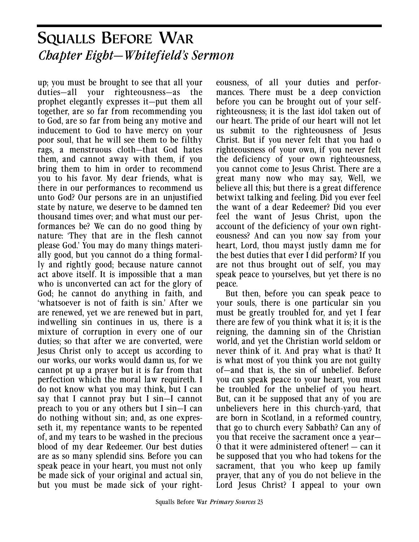up; you must be brought to see that all your duties—all your righteousness—as the prophet elegantly expresses it—put them all together, are so far from recommending you to God, are so far from being any motive and inducement to God to have mercy on your poor soul, that he will see them to be filthy rags, a menstruous cloth—that God hates them, and cannot away with them, if you bring them to him in order to recommend you to his favor. My dear friends, what is there in our performances to recommend us unto God? Our persons are in an unjustified state by nature, we deserve to be damned ten thousand times over; and what must our performances be? We can do no good thing by nature: 'They that are in the flesh cannot please God.' You may do many things materially good, but you cannot do a thing formally and rightly good; because nature cannot act above itself. It is impossible that a man who is unconverted can act for the glory of God; he cannot do anything in faith, and 'whatsoever is not of faith is sin.' After we are renewed, yet we are renewed but in part, indwelling sin continues in us, there is a mixture of corruption in every one of our duties; so that after we are converted, were Jesus Christ only to accept us according to our works, our works would damn us, for we cannot pt up a prayer but it is far from that perfection which the moral law requireth. I do not know what you may think, but I can say that I cannot pray but I sin—I cannot preach to you or any others but I sin—I can do nothing without sin; and, as one expresseth it, my repentance wants to be repented of, and my tears to be washed in the precious blood of my dear Redeemer. Our best duties are as so many splendid sins. Before you can speak peace in your heart, you must not only be made sick of your original and actual sin, but you must be made sick of your righteousness, of all your duties and performances. There must be a deep conviction before you can be brought out of your selfrighteousness; it is the last idol taken out of our heart. The pride of our heart will not let us submit to the righteousness of Jesus Christ. But if you never felt that you had o righteousness of your own, if you never felt the deficiency of your own righteousness, you cannot come to Jesus Christ. There are a great many now who may say, Well, we believe all this; but there is a great difference betwixt talking and feeling. Did you ever feel the want of a dear Redeemer? Did you ever feel the want of Jesus Christ, upon the account of the deficiency of your own righteousness? And can you now say from your heart, Lord, thou mayst justly damn me for the best duties that ever I did perform? If you are not thus brought out of self, you may speak peace to yourselves, but yet there is no peace.

But then, before you can speak peace to your souls, there is one particular sin you must be greatly troubled for, and yet I fear there are few of you think what it is; it is the reigning, the damning sin of the Christian world, and yet the Christian world seldom or never think of it. And pray what is that? It is what most of you think you are not guilty of—and that is, the sin of unbelief. Before you can speak peace to your heart, you must be troubled for the unbelief of you heart. But, can it be supposed that any of you are unbelievers here in this church-yard, that are born in Scotland, in a reformed country, that go to church every Sabbath? Can any of you that receive the sacrament once a year— O that it were administered oftener! — can it be supposed that you who had tokens for the sacrament, that you who keep up family prayer, that any of you do not believe in the Lord Jesus Christ? I appeal to your own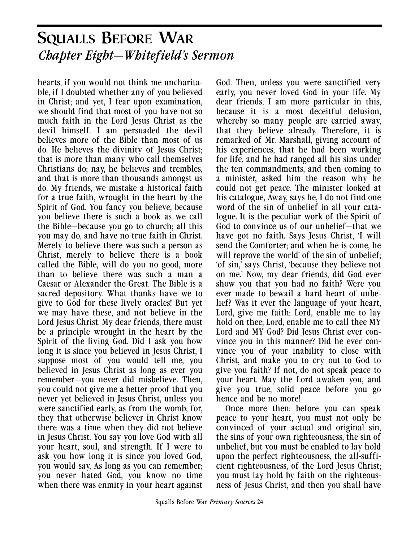hearts, if you would not think me uncharitable, if I doubted whether any of you believed in Christ; and yet, I fear upon examination, we should find that most of you have not so much faith in the Lord Jesus Christ as the devil himself. I am persuaded the devil believes more of the Bible than most of us do. He believes the divinity of Jesus Christ; that is more than many who call themselves Christians do; nay, he believes and trembles, and that is more than thousands amongst us do. My friends, we mistake a historical faith for a true faith, wrought in the heart by the Spirit of God. You fancy you believe, because you believe there is such a book as we call the Bible—because you go to church; all this you may do, and have no true faith in Christ. Merely to believe there was such a person as Christ, merely to believe there is a book called the Bible, will do you no good, more than to believe there was such a man a Caesar or Alexander the Great. The Bible is a sacred depository. What thanks have we to give to God for these lively oracles! But yet we may have these, and not believe in the Lord Jesus Christ. My dear friends, there must be a principle wrought in the heart by the Spirit of the living God. Did I ask you how long it is since you believed in Jesus Christ, I suppose most of you would tell me, you believed in Jesus Christ as long as ever you remember—you never did misbelieve. Then, you could not give me a better proof that you never yet believed in Jesus Christ, unless you were sanctified early, as from the womb; for, they that otherwise believer in Christ know there was a time when they did not believe in Jesus Christ. You say you love God with all your heart, soul, and strength. If I were to ask you how long it is since you loved God, you would say, As long as you can remember; you never hated God, you know no time when there was enmity in your heart against God. Then, unless you were sanctified very early, you never loved God in your life. My dear friends, I am more particular in this, because it is a most deceitful delusion, whereby so many people are carried away, that they believe already. Therefore, it is remarked of Mr. Marshall, giving account of his experiences, that he had been working for life, and he had ranged all his sins under the ten commandments, and then coming to a minister, asked him the reason why he could not get peace. The minister looked at his catalogue, Away, says he, I do not find one word of the sin of unbelief in all your catalogue. It is the peculiar work of the Spirit of God to convince us of our unbelief—that we have got no faith. Says Jesus Christ, 'I will send the Comforter; and when he is come, he will reprove the world' of the sin of unbelief; 'of sin,' says Christ, 'because they believe not on me.' Now, my dear friends, did God ever show you that you had no faith? Were you ever made to bewail a hard heart of unbelief? Was it ever the language of your heart, Lord, give me faith; Lord, enable me to lay hold on thee; Lord, enable me to call thee MY Lord and MY God? Did Jesus Christ ever convince you in this manner? Did he ever convince you of your inability to close with Christ, and make you to cry out to God to give you faith? If not, do not speak peace to your heart. May the Lord awaken you, and give you true, solid peace before you go hence and be no more!

Once more then: before you can speak peace to your heart, you must not only be convinced of your actual and original sin, the sins of your own righteousness, the sin of unbelief, but you must be enabled to lay hold upon the perfect righteousness, the all-sufficient righteousness, of the Lord Jesus Christ; you must lay hold by faith on the righteousness of Jesus Christ, and then you shall have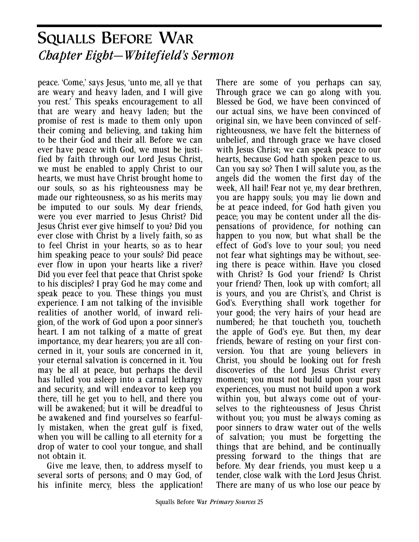peace. 'Come,' says Jesus, 'unto me, all ye that are weary and heavy laden, and I will give you rest.' This speaks encouragement to all that are weary and heavy laden; but the promise of rest is made to them only upon their coming and believing, and taking him to be their God and their all. Before we can ever have peace with God, we must be justified by faith through our Lord Jesus Christ, we must be enabled to apply Christ to our hearts, we must have Christ brought home to our souls, so as his righteousness may be made our righteousness, so as his merits may be imputed to our souls. My dear friends, were you ever married to Jesus Christ? Did Jesus Christ ever give himself to you? Did you ever close with Christ by a lively faith, so as to feel Christ in your hearts, so as to hear him speaking peace to your souls? Did peace ever flow in upon your hearts like a river? Did you ever feel that peace that Christ spoke to his disciples? I pray God he may come and speak peace to you. These things you must experience. I am not talking of the invisible realities of another world, of inward religion, of the work of God upon a poor sinner's heart. I am not talking of a matte of great importance, my dear hearers; you are all concerned in it, your souls are concerned in it, your eternal salvation is concerned in it. You may be all at peace, but perhaps the devil has lulled you asleep into a carnal lethargy and security, and will endeavor to keep you there, till he get you to hell, and there you will be awakened; but it will be dreadful to be awakened and find yourselves so fearfully mistaken, when the great gulf is fixed, when you will be calling to all eternity for a drop of water to cool your tongue, and shall not obtain it.

Give me leave, then, to address myself to several sorts of persons; and O may God, of his infinite mercy, bless the application! There are some of you perhaps can say, Through grace we can go along with you. Blessed be God, we have been convinced of our actual sins, we have been convinced of original sin, we have been convinced of selfrighteousness, we have felt the bitterness of unbelief, and through grace we have closed with Jesus Christ; we can speak peace to our hearts, because God hath spoken peace to us. Can you say so? Then I will salute you, as the angels did the women the first day of the week, All hail! Fear not ye, my dear brethren, you are happy souls; you may lie down and be at peace indeed, for God hath given you peace; you may be content under all the dispensations of providence, for nothing can happen to you now, but what shall be the effect of God's love to your soul; you need not fear what sightings may be without, seeing there is peace within. Have you closed with Christ? Is God your friend? Is Christ your friend? Then, look up with comfort; all is yours, and you are Christ's, and Christ is God's. Everything shall work together for your good; the very hairs of your head are numbered; he that toucheth you, toucheth the apple of God's eye. But then, my dear friends, beware of resting on your first conversion. You that are young believers in Christ, you should be looking out for fresh discoveries of the Lord Jesus Christ every moment; you must not build upon your past experiences, you must not build upon a work within you, but always come out of yourselves to the righteousness of Jesus Christ without you; you must be always coming as poor sinners to draw water out of the wells of salvation; you must be forgetting the things that are behind, and be continually pressing forward to the things that are before. My dear friends, you must keep u a tender, close walk with the Lord Jesus Christ. There are many of us who lose our peace by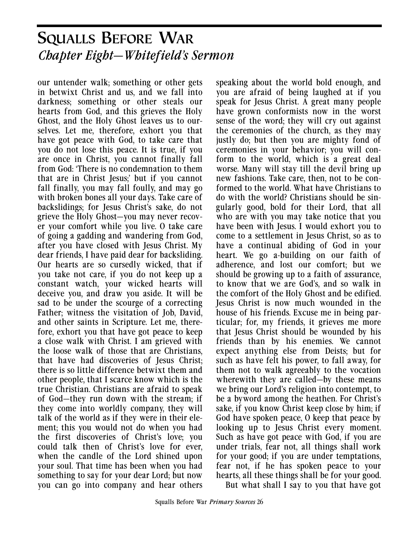our untender walk; something or other gets in betwixt Christ and us, and we fall into darkness; something or other steals our hearts from God, and this grieves the Holy Ghost, and the Holy Ghost leaves us to ourselves. Let me, therefore, exhort you that have got peace with God, to take care that you do not lose this peace. It is true, if you are once in Christ, you cannot finally fall from God: 'There is no condemnation to them that are in Christ Jesus;' but if you cannot fall finally, you may fall foully, and may go with broken bones all your days. Take care of backslidings; for Jesus Christ's sake, do not grieve the Holy Ghost—you may never recover your comfort while you live. O take care of going a gadding and wandering from God, after you have closed with Jesus Christ. My dear friends, I have paid dear for backsliding. Our hearts are so cursedly wicked, that if you take not care, if you do not keep up a constant watch, your wicked hearts will deceive you, and draw you aside. It will be sad to be under the scourge of a correcting Father; witness the visitation of Job, David, and other saints in Scripture. Let me, therefore, exhort you that have got peace to keep a close walk with Christ. I am grieved with the loose walk of those that are Christians, that have had discoveries of Jesus Christ; there is so little difference betwixt them and other people, that I scarce know which is the true Christian. Christians are afraid to speak of God—they run down with the stream; if they come into worldly company, they will talk of the world as if they were in their element; this you would not do when you had the first discoveries of Christ's love; you could talk then of Christ's love for ever, when the candle of the Lord shined upon your soul. That time has been when you had something to say for your dear Lord; but now you can go into company and hear others speaking about the world bold enough, and you are afraid of being laughed at if you speak for Jesus Christ. A great many people have grown conformists now in the worst sense of the word; they will cry out against the ceremonies of the church, as they may justly do; but then you are mighty fond of ceremonies in your behavior; you will conform to the world, which is a great deal worse. Many will stay till the devil bring up new fashions. Take care, then, not to be conformed to the world. What have Christians to do with the world? Christians should be singularly good, bold for their Lord, that all who are with you may take notice that you have been with Jesus. I would exhort you to come to a settlement in Jesus Christ, so as to have a continual abiding of God in your heart. We go a-building on our faith of adherence, and lost our comfort; but we should be growing up to a faith of assurance, to know that we are God's, and so walk in the comfort of the Holy Ghost and be edified. Jesus Christ is now much wounded in the house of his friends. Excuse me in being particular; for, my friends, it grieves me more that Jesus Christ should be wounded by his friends than by his enemies. We cannot expect anything else from Deists; but for such as have felt his power, to fall away, for them not to walk agreeably to the vocation wherewith they are called—by these means we bring our Lord's religion into contempt, to be a byword among the heathen. For Christ's sake, if you know Christ keep close by him; if God have spoken peace, O keep that peace by looking up to Jesus Christ every moment. Such as have got peace with God, if you are under trials, fear not, all things shall work for your good; if you are under temptations, fear not, if he has spoken peace to your hearts, all these things shall be for your good. But what shall I say to you that have got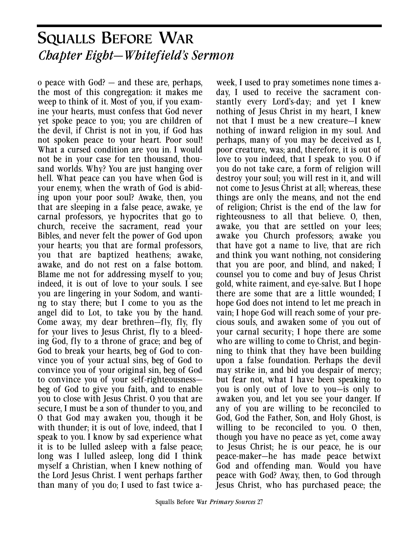o peace with God? — and these are, perhaps, the most of this congregation: it makes me weep to think of it. Most of you, if you examine your hearts, must confess that God never yet spoke peace to you; you are children of the devil, if Christ is not in you, if God has not spoken peace to your heart. Poor soul! What a cursed condition are you in. I would not be in your case for ten thousand, thousand worlds. Why? You are just hanging over hell. What peace can you have when God is your enemy, when the wrath of God is abiding upon your poor soul? Awake, then, you that are sleeping in a false peace, awake, ye carnal professors, ye hypocrites that go to church, receive the sacrament, read your Bibles, and never felt the power of God upon your hearts; you that are formal professors, you that are baptized heathens; awake, awake, and do not rest on a false bottom. Blame me not for addressing myself to you; indeed, it is out of love to your souls. I see you are lingering in your Sodom, and wanting to stay there; but I come to you as the angel did to Lot, to take you by the hand. Come away, my dear brethren—fly, fly, fly for your lives to Jesus Christ, fly to a bleeding God, fly to a throne of grace; and beg of God to break your hearts, beg of God to convince you of your actual sins, beg of God to convince you of your original sin, beg of God to convince you of your self-righteousness beg of God to give you faith, and to enable you to close with Jesus Christ. O you that are secure, I must be a son of thunder to you, and O that God may awaken you, though it be with thunder; it is out of love, indeed, that I speak to you. I know by sad experience what it is to be lulled asleep with a false peace; long was I lulled asleep, long did I think myself a Christian, when I knew nothing of the Lord Jesus Christ. I went perhaps farther than many of you do; I used to fast twice aweek, I used to pray sometimes none times aday, I used to receive the sacrament constantly every Lord's-day; and yet I knew nothing of Jesus Christ in my heart, I knew not that I must be a new creature—I knew nothing of inward religion in my soul. And perhaps, many of you may be deceived as I, poor creature, was; and, therefore, it is out of love to you indeed, that I speak to you. O if you do not take care, a form of religion will destroy your soul; you will rest in it, and will not come to Jesus Christ at all; whereas, these things are only the means, and not the end of religion; Christ is the end of the law for righteousness to all that believe. O, then, awake, you that are settled on your lees; awake you Church professors; awake you that have got a name to live, that are rich and think you want nothing, not considering that you are poor, and blind, and naked; I counsel you to come and buy of Jesus Christ gold, white raiment, and eye-salve. But I hope there are some that are a little wounded; I hope God does not intend to let me preach in vain; I hope God will reach some of your precious souls, and awaken some of you out of your carnal security; I hope there are some who are willing to come to Christ, and beginning to think that they have been building upon a false foundation. Perhaps the devil may strike in, and bid you despair of mercy; but fear not, what I have been speaking to you is only out of love to you—is only to awaken you, and let you see your danger. If any of you are willing to be reconciled to God, God the Father, Son, and Holy Ghost, is willing to be reconciled to you. O then, though you have no peace as yet, come away to Jesus Christ; he is our peace, he is our peace-maker—he has made peace betwixt God and offending man. Would you have peace with God? Away, then, to God through Jesus Christ, who has purchased peace; the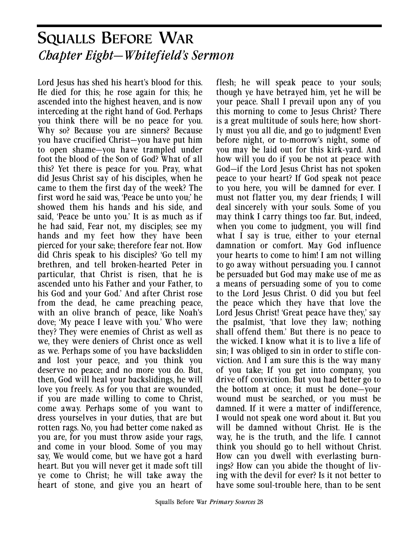Lord Jesus has shed his heart's blood for this. He died for this; he rose again for this; he ascended into the highest heaven, and is now interceding at the right hand of God. Perhaps you think there will be no peace for you. Why so? Because you are sinners? Because you have crucified Christ—you have put him to open shame—you have trampled under foot the blood of the Son of God? What of all this? Yet there is peace for you. Pray, what did Jesus Christ say of his disciples, when he came to them the first day of the week? The first word he said was, 'Peace be unto you;' he showed them his hands and his side, and said, 'Peace be unto you.' It is as much as if he had said, Fear not, my disciples; see my hands and my feet how they have been pierced for your sake; therefore fear not. How did Chris speak to his disciples? 'Go tell my brethren, and tell broken-hearted Peter in particular, that Christ is risen, that he is ascended unto his Father and your Father, to his God and your God.' And after Christ rose from the dead, he came preaching peace, with an olive branch of peace, like Noah's dove; 'My peace I leave with you.' Who were they? They were enemies of Christ as well as we, they were deniers of Christ once as well as we. Perhaps some of you have backslidden and lost your peace, and you think you deserve no peace; and no more you do. But, then, God will heal your backslidings, he will love you freely. As for you that are wounded, if you are made willing to come to Christ, come away. Perhaps some of you want to dress yourselves in your duties, that are but rotten rags. No, you had better come naked as you are, for you must throw aside your rags, and come in your blood. Some of you may say, We would come, but we have got a hard heart. But you will never get it made soft till ye come to Christ; he will take away the heart of stone, and give you an heart of flesh; he will speak peace to your souls; though ye have betrayed him, yet he will be your peace. Shall I prevail upon any of you this morning to come to Jesus Christ? There is a great multitude of souls here; how shortly must you all die, and go to judgment! Even before night, or to-morrow's night, some of you may be laid out for this kirk-yard. And how will you do if you be not at peace with God—if the Lord Jesus Christ has not spoken peace to your heart? If God speak not peace to you here, you will be damned for ever. I must not flatter you, my dear friends; I will deal sincerely with your souls. Some of you may think I carry things too far. But, indeed, when you come to judgment, you will find what I say is true, either to your eternal damnation or comfort. May God influence your hearts to come to him! I am not willing to go away without persuading you. I cannot be persuaded but God may make use of me as a means of persuading some of you to come to the Lord Jesus Christ. O did you but feel the peace which they have that love the Lord Jesus Christ! 'Great peace have they,' say the psalmist, 'that love they law; nothing shall offend them.' But there is no peace to the wicked. I know what it is to live a life of sin; I was obliged to sin in order to stifle conviction. And I am sure this is the way many of you take; If you get into company, you drive off conviction. But you had better go to the bottom at once; it must be done—your wound must be searched, or you must be damned. If it were a matter of indifference, I would not speak one word about it. But you will be damned without Christ. He is the way, he is the truth, and the life. I cannot think you should go to hell without Christ. How can you dwell with everlasting burnings? How can you abide the thought of living with the devil for ever? Is it not better to have some soul-trouble here, than to be sent